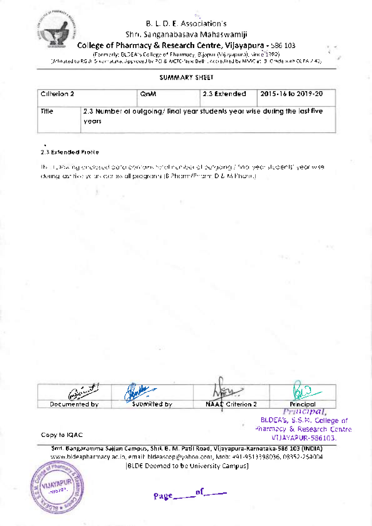

Shri. Sanganabasava Mahaswamiji

College of Pharmacy & Research Centre, Vijayapura - 586 103

(Formerly; BLDEA's College of Pharmacy, Bijapur (Vijayapura), since 1982

[Affiliated to RGUHS-Karnataka, Approved by PCI & AICTE-New Delhi, Accredited by NAAC at'B' Grade with CGPA 2.40]

#### SUMMARY SHEET

| Cilletion 2 |       | QnM | 2.3 Extended                                                               | 2015-16 to 2019-20 |
|-------------|-------|-----|----------------------------------------------------------------------------|--------------------|
| Title       | vears |     | 2.3 Number of oulgoing/ final year students year wise during the last five |                    |

#### Z.S fxtenaed Profile

The following enclosed doto contoins totol number of outgoing / finol yeor students' yeor wise during lost five yeors ocross oll progroms (B Phorm/Phorm D & M Phorm)

| Capelund +    |              |                  |                                                                                              |
|---------------|--------------|------------------|----------------------------------------------------------------------------------------------|
| Documented by | Submitted by | NAAC Criterion 2 | Principal                                                                                    |
| Copy to IQAC. |              |                  | Principal,<br>BLDEA's, S.S.M. College of<br>Pharmacy, & Research Centre.<br>VUAYAPUR-586103. |

Smt. Bangaramma Sajjan Campus, Shri. B. M. Patil Road, Vijayapura-Karnataka-586 103 (INDIA) www.bldeapharmacy.ac.in, email: bldeascop@yahoo.com, Mob: +91-9513398036, 08352-254004 IBLDE Deemed to be University Campus]



 $Page_0$  of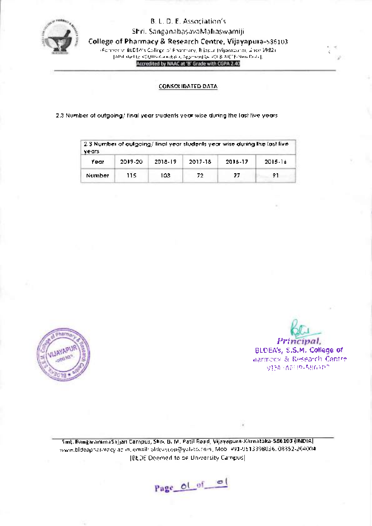

Shri. SanganabasavaMahaswamijl

College of Pharmacy & Research Centre, Vijayapura-586103

(Formerly; BLDEA's College of Pharmacy, Bijapur (Vijayapura), since 1982) fAffiliated to RGUHS-Karnataka, Approved by PCI & AICTE-New Delhi],

CONSOLIDATED DATA

2.3 Number of oulgoing/ finol yeor studenls yeor wise during the losl five yeors

| 2.3 Number of outgoing/ linal year students year wise during the last live<br>vears |         |         |         |         |         |
|-------------------------------------------------------------------------------------|---------|---------|---------|---------|---------|
| Year                                                                                | 2019-20 | 2018-19 | 2017-18 | 2016-17 | 2015-16 |
| Number                                                                              | 115     | 103     | 72      | 77      | 91      |



 $k_1$ Principal BLDEA's, S.S.M. College of harmocy & Research Centre vila - seura 5go de ?

!{ i; 1"

Smt. BangarammaSajjan Campus, Shri. B. M. Patil Road, Vijayapura-Karnata ka-585103 (lNDlA) www.bldeapharmacy.ac.in, email: bldeascop@yahoo.com, Mob: +91-9513398036, 08352-264004 IBLDE Deemed to be University Campus]

Page of of ol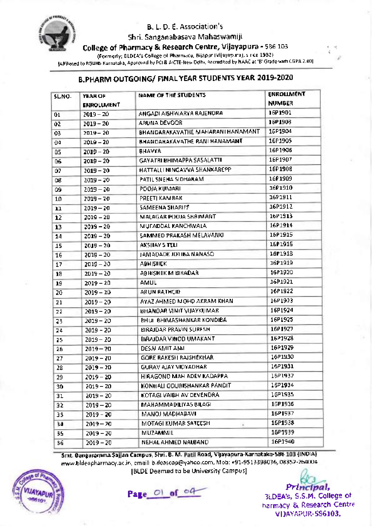

Shri. Sanganabasava Mahaswamiji

College of Pharmacy & Research Centre, Viiayapura - s86 <sup>103</sup>

(Formerly; BLDEA's College of Pharmacy, Bijapur (Vijayapura), since 1982)

[Affiliated to RGUHs-Karnataka, Approved by PCI & AICTE-New Delhi, Accredited by NAAC at'B' Grade with CGPA 2.40]

# B.PHARM OUTGOING/ FINAL YEAR STUDENTS YEAR 2OL9-2O2O

| SLNO. | YEAR OF<br><b>ENROLUMENT</b> | NAME OF THE STUDENTS               | <b>ENROLLMENT</b><br><b>NUMBER</b> |
|-------|------------------------------|------------------------------------|------------------------------------|
| 01    | $2019 - 20$                  | ANGADI AISHWARYA RAJENDRA          | 16P1901                            |
| 02    | $2019 - 20$                  | ARUNA DEVOOR                       | 1691903                            |
| 03    | 2019-20                      | BHANDARAKAVATHE MAHARANI HANAMANT  | 16P1904                            |
| 04    | 2019 - 20                    | BHANDARAKAVATHE RANI HANAMANT      | 16P1905                            |
| û5    | 2019 – 20                    | BHAVYA                             | 16P1906                            |
| 06    | $2019 - 20$                  | GAYATRI BHIMAPPA SASALATTI         | 16P1907                            |
| 07    | $2019 - 20$                  | HATTALLI NINGAVVA SHANXAREPP       | 16P1908                            |
| ۵e    | 2019 – 20                    | PATIL SNEHA SIDHARAM.              | 1691909                            |
| Û9    | $2019 - 20$                  | POOJA KUMARI                       | 1601910                            |
| 10    | 2019 – 20.                   | PREETI KAMBAR                      | 1691911                            |
| 11    | 2019-20                      | SAMEENA SHARIFF                    | 16P1912                            |
| 12    | 2019-20                      | MALAGAR POOJA SHAIMANT             | 16P1913                            |
| 13    | 2019 – 20                    | MUFADDAL KANCHWALA                 | 16P1914                            |
| 14    | $2019 - 20$                  | SAMIMED PRAKASH MELAVANKI          | 1661915                            |
| 15    | $2019 - 20$                  | AKSHAY'S TELL                      | 1601916                            |
| 16    | $2019 - 20$                  | JAMADADE JIJ1IBA NANASO            | 16P1918                            |
| 17    | 2019 - 20                    | АВНІЯІСКІ                          | 1691919                            |
| 18    | 2019-20                      | ABHISHEK M BIRADAR.                | 16P1920                            |
| 19    | $2019 - 20$                  | AMUL                               | 16P1921                            |
| 20    | 2019 – 20                    | ARUN RATHOD.                       | 1681922                            |
| 21    | $2019 - 20$                  | AYAZ AHMED MOHD AKRAM KHAN.        | 16P1923                            |
| 22    | 2019 – 20                    | BHANDAR VINIT VIJAYKUMARI          | 16P1924                            |
| 23.   | $2019 - 20$                  | BHUL BHIMASHANKAR KONDIBA          | 16P1925                            |
| 24    | $2019 - 20$                  | BIRAJDAR PRAVIN SURESH.            | 1691927                            |
| 25    | $2019 - 20$                  | BIRAJDAR VINOD UMAKANT             | 16P1923                            |
| 26    | 2019-20                      | DESALAMIT ANIL                     | 16P1929                            |
| 27    | 2019 - 20                    | GORE RAKESH RAJSHËKHAR             | 16P1930                            |
| 28    | $2019 - 20$                  | GURAV AJAY VIDYADHAR               | 16P1931                            |
| 29.   | 2019 – 20                    | HIRAGOND MAH ADEV KADAPPA          | 16P1932                            |
| 30    | 2019 – 20                    | KONHALI GOURISHANKAR PANDIT        | 16P1934                            |
| 31    | 2019 – 20                    | KOTAGI VAIBH AV DEVENDRA           | 16P1935                            |
| 32.   | 2019 – 20                    | MAHAMMADILIYAS BILAGI.             | 16P1936                            |
| 33    | 2019 - 20                    | MANOJ MADHABAVI                    | 16P1937                            |
| 34.   | 2019 – 20.                   | MOTAGI KUMAR SATEESH.<br>$\alpha'$ | 16P1938                            |
| 35.   | 2019 – 20                    | <b>MUZAMMIL</b>                    | 16P1939                            |
| 36.   | 2019 – 20                    | NEHAL AHMED NALBAND                | 16P1940                            |

Smt. Bangaramma Sajjan Campus, Shri. B. M. Patil Road, Vijayapura-Karnataka-SB6 103 (INDIA) www.bldeapharmacy.ac.in, email: bldeascop@yahoo.com, Mob: +91-9513398036, 08352-264004 [BLDE Deemed to be University Campus]



Page Ol of 04

Principal, SLDEA'S, S,S.M, College ot harmacy & Research Centre VI)AYAPUR-586103,

ta t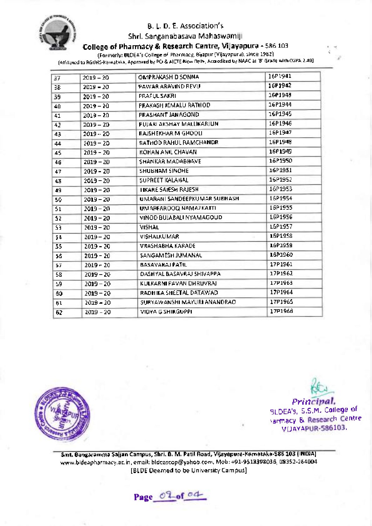

#### Shri. Sanganabasava Mahaswamiji

College of Pharmacy & Research Centre, Viiayapura - 586103

(Formerly; BLDEA's College of Pharmacy, Bijapur (Vijayapura), since 1982)

[Affiliated to RGUHs-Karnataka, Approved by PCI & AICTE-New Delhi, Accredited by NAAC at 'B' Grade with CGPA 2.40]

| 37  | $2019 - 20$ | OMPRAKASH D SONNA            | 16P1941              |
|-----|-------------|------------------------------|----------------------|
| ЗB  | $2019 - 20$ | PAWAR ARAVIND REVU           | 16P1942              |
| 39  | 2019-20     | PRAFUL SAKRI                 | 1601945              |
| 40  | $2019 - 20$ | PRAKASH JEMALU RATHOD.       | 16P1944              |
| 41  | 2019 – 20   | PRASHANT JANAGOND            | 16P1945              |
| 42  | $2019 - 20$ | PUJARI AKSHAY MALLIKARJUN    | 16P1946              |
| 43  | 2019 - 20   | RAISHEKHAR M GHOOLI          | 16P1947              |
| 44  | $2019 - 20$ | RATHOD RAHUL RAMCHANDR       | 16P1948              |
| 45  | 2019 - 20   | ROHAN ANIL CHAVANI           | 1601949              |
| 46  | 2019 - 20   | SHANKAR MADABHAVE            | 16P1950              |
| 47  | 2019 - 20   | <b>SHUBHAM SINOHE</b>        | 16P1951              |
| 48  | $2019 - 20$ | SUPREET KALAHAL              | 16P1952              |
| 49, | $2019 - 20$ | <b>FIKARE SAIESH RAJESH</b>  | 16P1953              |
| 50. | $2019 - 20$ | UMARANI SANDEEPKUMAR SUBHASH | 16P1 <del>9</del> 54 |
| 51  | $2019 - 20$ | UMARFAROOQ NAMAZKATTI        | 16P1955              |
| 52  | $2019 - 20$ | VINOD BUJABALI NYAMAGOUD.    | 16P1956              |
| SЭ  | $2019 - 20$ | VISHAL                       | 1681957              |
| 54  | $2019 - 20$ | VISHALKUMAR                  | 1691958              |
| 55  | $2019 - 20$ | VRASHABHA KARADE             | 1601959              |
| 56  | $2019 - 20$ | SANGAMESH JUMANAU            | 1691960              |
| 57  | $2019 - 20$ | <b>BASAVARAJ PATIL</b>       | 17P1961              |
| 58  | $2019 - 20$ | DASHYAL BASAVRAJ SHIVAPPA    | 17P1962              |
| 59  | 2019 – 20   | KULKARNI PAVAN DHRUVRAJ      | 17P1963              |
| 60  | $2019 - 20$ | RADHIKA SHEETAL DATAWAD      | 1791964              |
| 61  | 2019 – 20.  | SURYAWANSHI MAYURI ANANORAO  | 17P1965              |
| 62  | 2019 - 20   | VIDYA G SHIRGUPPI            | 17P1966              |



Krr Principal SLDEA's, S.S.M. College of varmacy & Research Centre **VIJAYAPUR-586103.** 

,4 { I'

Smt. Bangaramma Sajjan Campus, Shri. B. M. Patil Road, Vijayapura-Karnataka-586 103 (INDIA) www.bldeapharmacy.ac.in, email: bldeascop@yahoo.com, Mob: +91-9513398036, 08352-264004 IBLDE Deemed to be University Campus]

Page 02 of 00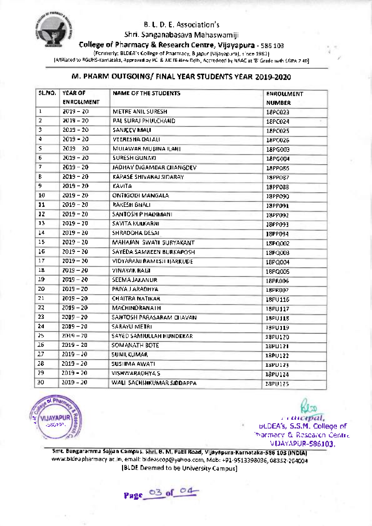

Shri. Sanganabasava Mahaswamiji

College of Pharmacy & Research Centre, Vijayapura - 586 103

(Formerly; BLDEA's College of Pharmacy, Bijapur (Vijayapura), since 1982)

[Affiliated to RGUHS-Karnataka, Approved by PCI & AICTE-New Delhi, Accredited by NAAC at 'B' Grade with CGPA 7.40]

# M. PHARM OUTGOING/ FINAL YEAR STUDENTS YEAR 2019-2020

| SLNO.                   | YEAR OF<br><b>ENROLLMENT</b> | NAME OF THE STUDENTS      | <b>ENROULMENT</b><br>NUMBER |
|-------------------------|------------------------------|---------------------------|-----------------------------|
| ı                       | $2019 - 20$                  | METHE ANIL SURESH         | 18PC023                     |
| $\overline{\mathbf{c}}$ | 2019-20                      | PAL SURAJ PHULCHAND       | 18PC024                     |
| 3                       | $2019 - 20$                  | SANJEEV MALI              | 18PC025                     |
| 4                       | 2019 - 20                    | VEERESHA DALAU            | 18PC026                     |
| s                       | 2019 20                      | MUJAWAR MUBINA ILAHI.     | 18PG003                     |
| б                       | $2019 - 20$                  | SURESH GUNAKI             | 18PG004                     |
| 7                       | 2019-20                      | JADHAY DIGAMBAR CHANGDEV  | 18PP066                     |
| В                       | $2019 - 20$                  | KAPASE SHIVARAJ SIDARAY   | <b>18PP067</b>              |
| 9                       | $2019 - 20$                  | KAVITA                    | 18PP08B                     |
| 10                      | $2019 - 20$                  | ONTIGODI MANGALA I        | 13PP090                     |
| 11                      | $2019 - 20$                  | RAKESH BHALI              | 13PP091                     |
| 12                      | $2019 - 20$                  | SANTOSH P HADDAANL        | 18PP092                     |
| 13                      | $2019 - 20$                  | SAVITA KULKARNI"          | <b>JSPP093</b>              |
| 14                      | $2019 - 20$                  | SHRADDHA DESAI            | 18PP094                     |
| 15                      | $2019 - 20$                  | MAHAJAN SWATI SURYAKANT   | 18PQ002                     |
| 15                      | $2019 - 20$                  | SAYEDA SAMREEN BURKAPOSH  | 18PQ003                     |
| 17                      | $2019 - 20$                  | VIDYARANI RAMESILIJARKUDE | 18PQ004                     |
| 18                      | $2019 - 20$                  | VINAYAK RAGI              | 18PQ005                     |
| 19                      | $2019 - 20$                  | <b>SEEMA JAXANUR</b>      | 18PR006                     |
| 20                      | 2019-20                      | PRIYA J ARADHYA           | 18PR007                     |
| 21                      | $2019 - 20$                  | <b>CHAITRA NATIKAR</b>    | 18PU116                     |
| 22                      | $2019 - 20$                  | MACHINORANATH             | 18PU117                     |
| 23                      | $2019 - 20$                  | SANTOSH PARASARAM CHAVAN  | 18PU118                     |
| 24                      | $2019 - 20$                  | SARAYU METRI              | 18PU119                     |
| 25                      | 2019-20                      | SAYED SAMIULLAH HUNDEKAR  | 13PU120                     |
| 26                      | 2019 - 20                    | SOMANATH BOTE             | 18PU121                     |
| 27                      | $2019 - 20$                  | <b>SUNILKUMAR</b>         | 18PU122                     |
| 28                      | $2019 - 20$                  | SUSHMA AWATI.             | 18PU123                     |
| 29                      | $2019 - 20$                  | <b>VISHWARADHYA S</b>     | 18PU124                     |
| 30                      | $2019 - 20$                  | WALI SACHINKUMAR SIDDAPPA | 18PU125                     |



r)  $\ldots$ uticepal, 6LDEA's, S.S.M. College of ']xarr\*acy & Research Centre VIJAYAPUR.586l03.

t

Smt. Bangaramma Sajjan Campus, Shri. B. M. Patil Road, Vijayapura-Karnataka-586 103 (INDIA) www.bldeapharmacy.ac.in, email: bldeascop@yahoo.com, Mob: +91-9513398036, 08352-264004 IBLDE Deemed to be University Campus]

Page 03 of 04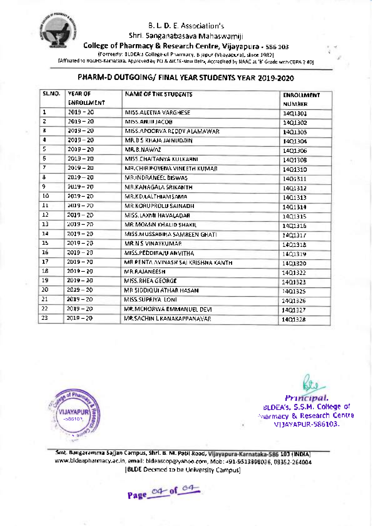

Shri. Sanganabasava Mahaswamiji

College of Pharmacy & Research Centre, Vijayapura - s86 <sup>103</sup>

(Formerly; BLDEA's College of Pharmacy, Bijapur (Vijayapura), since 19g2)

[Affiliated to RGUHS-Karnataka, Approved by PCI & AICTE-New Delhi, Accredited by NAAC at'R Grade with CGpA 2.40]

#### PHARM-D OUTGOING/ FINAL YEAR STUDENTS YEAR 2019-2020

| SLNO. | YEAR OF<br><b>ENROLLMENT</b> | NAME OF THE STUDENTS                | <b>ENROLLMENT</b><br><b>NUMBER</b> |
|-------|------------------------------|-------------------------------------|------------------------------------|
| 1     | $2019 - 20$                  | MISS ALEENA VARGHESE                | 1401301                            |
| z     | $2019 - 20$                  | MISS.ANJIJ JACOB.                   | 1401302                            |
| 3     | $2019 - 20$                  | MISS.APOORVA REDDY ALAMAWAR         | 1401303                            |
| 4     | $2019 - 20$                  | MR.BS KHAJA JAINUDDIN               | 1401304                            |
| 5     | $2019 - 20$                  | MR.B.NAWAZ                          | 1401306                            |
| 6     | $2019 - 20$                  | MISS.CHAITANYA KULKARNI             | 14Q1308                            |
| 7     | $2019 - 20$                  | <b>MR.CHIRIPOYENA VINEETH KUMAR</b> | 14Q1310                            |
| B     | 2019-20                      | MRUNDRANEEL BISWAS                  | 1401311                            |
| 9.    | 2019 - 70                    | MB.KANAGALA SRIKANTH                | 1401312                            |
| 10    | $2019 - 20$                  | MR.KD.LALTHIAMSAMA                  | 1401313                            |
| 11    | $2019 - 20$                  | <b>MR.KORUPROLU SAINADH</b>         | 1401314                            |
| 12    | 2019-20                      | MISS.LAXMI HAVALADAR                | 1401315                            |
| 13    | $2019 - 20$                  | MR.MOMIN KHALID SHAKIL              | 14Q1316                            |
| 14    | 2019-20                      | MISS MUSSABIHA SAMREEN GHATI        | 1401317                            |
| 15    | $2019 - 20$                  | MR.N.S.VINAYKUMAR                   | 1401318                            |
| 16    | $2019 - 20$                  | MISS PEDDIRAJU ANVITHA              | 1401319                            |
| 17    | 2019 – 20                    | ME PENTA AVINASH SAI KRISHNA KANTH  | 1401320                            |
| 18    | 2019 - 20                    | <b>MR.RAJANEESH</b>                 | 14Q1322                            |
| 19    | $2019 - 20$                  | MISS.RHEA GEORGE                    | 14Q1323                            |
| 20    | $2019 - 20$                  | MR SIDDIQUI ATHAR HASAN             | 1401325                            |
| 21    | $2019 - 20$                  | MISS.SUPRIYA LONI                   | 1401326                            |
| 22    | $2019 - 20$                  | MR.MCHORWA EMMANUEL DEVI            | 1401327                            |
| 23    | $2019 - 20$                  | MR.SACHIN LIKANAKAPPANAVAR          | 1401328                            |



r) References SLDEA!, S.S.M. College of .'narmacy & Research Centre VI]AYAPUR-586103.

!{ t

Smt. Bangaramma Sajjan Campus, Shri. B. M. Patil Road, Vijayapura-Karnataka-586 103 (INDIA) www.bf deapharmacy.ac.in, email: bldeascop@yahoo.com, Mob: +91-9513398036, 01352-264004 [BLDE Deemed to be University Campus]

Page 04 of 04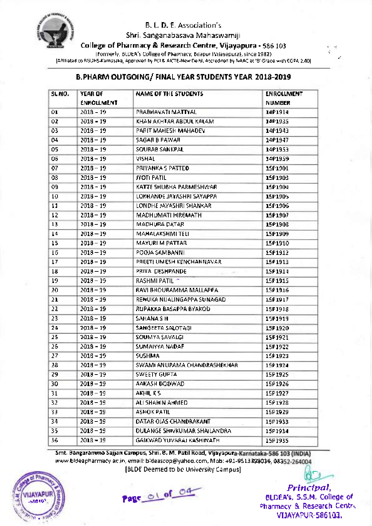

Shri. Sanganabasava Mahaswamiji

College of Pharmacy & Research Centre, Vijayapura - 586103

(Formerly; BLDEA's College of Pharmacy, Bijapur (Vijayapura), since 1982) [Affiliated to RGUHs-Karnataka, Approved by PCI & AICTE-New Delhi, Accredited by NAAC at 'B'Grade with CGPA 2.40]

#### B.PHARM OUTGOING/ FINAL YEAR STUDENTS YEAR 2018-2019

| SL.NO. | <b>YEAR OF</b><br><b>ENROLLMENT</b> | NAME OF THE STUDENTS                | <b>ENROLLMENT</b><br><b>NUMBER</b> |
|--------|-------------------------------------|-------------------------------------|------------------------------------|
| 0ı     | $2018 - 19$                         | PRABHAVATI MATTYAL                  | 1401914                            |
| Ó2     | 2018 - 19                           | KHAN AKHTAR ABDUL KALAM             | 1401935                            |
| 03     | $2018 - 19$                         | PARIT MAHESH MAHADEV                | 1401943                            |
| 04     | $2018 - 19$                         | SAGAR B PAWAR                       | 14P1947                            |
| 05     | 2018 – 19                           | SOURAB SANKPAL.                     | 14P1953                            |
| 06     | $2018 - 19$                         | VISHAL                              | 14P1959                            |
| 07     | 2018 – 19                           | PRIYANKA S PATTEO                   | 1501901                            |
| 08     | $2018 - 19$                         | JYOTI PATIL                         | 1501903                            |
| 99     | 2018 - 19                           | KATTE SHUBHA PARMESHWAR.            | 1501904                            |
| 10     | $2018 - 19$                         | LOKHANDE JAYASHRI SAYAPPA           | 15P1905                            |
| 11     | 2018 - 19                           | LONDHE JAYASHRI SHANKAR             | 1501906                            |
| 12     | $2013 - 19$                         | MADHUMATI HIREMATH                  | 1591907                            |
| 13     | 2013 - 19                           | MADHURA DATAR                       | 15P1908                            |
| 14     | 2013-19                             | <b>MAHALAKSHMI TELI</b>             | 1501909                            |
| 15     | 2013 – 19                           | MAYURI M PATTAR                     | 1501910                            |
| 16     | $2018 - 19$                         | POOJA SAMBANNI                      | 15P1912                            |
| 17     | 1013 – 19                           | PREETI UMESH KENCHANNAVAR           | 15P1913                            |
| 18     | 2018 – 19                           | PRIYA DESHPANDE<br>and the state    | 1501914                            |
| 19     | 2018 – 19                           | RASHMI PATIL -                      | 15P1915                            |
| 20     | $2018 - 19$                         | RAVI BHOURAMMA MALLAPPA             | 1591916                            |
| 21     | 2018 - 19                           | RENUKA NIJALINGAPPA SUNAGADI        | 1501917                            |
| 22     | $2018 - 19$                         | RUPAKKA BASAPPA BYAKOD              | 15P1918                            |
| 23     | 2018 – 19                           | SAHANA SH                           | 15P1919                            |
| 24     | 2018-19                             | SANGEETA SALOTAGI                   | 15P1920                            |
| 25     | 2018 - 19                           | SOUMYA SAVALGI                      | 15P1921                            |
| 26     | 2018 - 19                           | SUMAIYYA NADAF                      | 15P1922                            |
| 27     | $2018 - 19$                         | <b>SUSHMA</b>                       | 15#1923                            |
| 28     | $2018 - 19$                         | SWAMI ANUPAMA CHANDRASHEKHAR.       | 15P1924                            |
| 29     | $2018 - 19$                         | SWEETY GUPTA                        | 15P1925                            |
| 30     | $2018 - 19$                         | AAKASH DODWAD.                      | 1591926                            |
| 31     | $2018 - 19$                         | AKHIL K.S.                          | 15P1927                            |
| 32     | $2018 - 19$                         | ALI SHAHIN AHMED.                   | 15P1928                            |
| 33.    | $2018 - 19$                         | ASHOK PATIL                         | 15P1929                            |
| 34     | $2018 - 19$                         | DATAR OJAS CHANDRAKANT              | 15P1933                            |
| 35     | $2018 - 19$                         | <b>DULANGE SHIVKUMAR SHAILANDRA</b> | 15P1934                            |
| 36     | 2018-19                             | GAIXWAD YUVARAJ KASHINATHI          | 15P1935                            |

Smt. Bangaramma Sajjan Campus, Shri. B. M. Patil Road, Vljayapura-Karnataka-586 103 (INDIA) www.bldeapharmacy.ac.in, email: bideascop@yahoo.com, Mob: +91-9513398036, 08352-264004 [BLDE Deemed to be University Campus] (-



Page of of o4

Princlpal, BLDEA's, S.S.M. College of Pharmacy & Research Centre VI]AYAPUR.586103.

 $\mathbf{t}$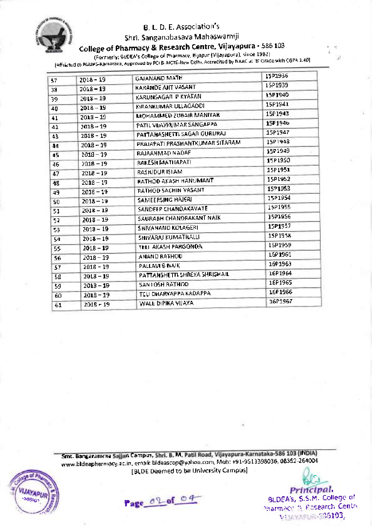

# Shri. Sanganabasava Mahaswamiji

# College of PharmacY & Research Centre, VijaYaPura - 586 <sup>103</sup>

(Formerly; BLDEA's College of Pharmacy, , Bijapur (VijaYaPura), since 1982)

(Affiliated to RGUHS-Karnataka, Approved by PCI & AICTE-New Celhi, Accredited by NAAC at 'B' Grade with CGPA 2.40

| 37. | 2018-19     | GAJANAND MATH                   | 15P1936        |
|-----|-------------|---------------------------------|----------------|
| 33  | 2018 – 19   | KARANDE AJIT VASANT             | 1591939        |
| 39  | $2013 - 19$ | KARUNSAGAR P KYATAN             | 15P1940        |
| 40  | $2018 - 19$ | KIRANKUMAR ULLAGADDI            | 15P1941        |
| 41  | $2018 - 19$ | <b>MOHAMMED ZUBAIR MANIYAR</b>  | 15P1943        |
| 42  | 7018 – 19   | PATIL VUAYKUMAR SANGAPPA        | 15P1946        |
| 43  | $2018 - 19$ | PATTANASHETTI SAGAR GURURAJ     | 15P1947        |
| 44  | $2018 - 19$ | PRAJAPATI PRASHANTKUMAR SITARAM | 15P1948        |
| 45  | 2018 - 19   | RAJAAHMAD NADAF                 | 15P1949        |
| 46  | $2018 - 19$ | RAKESH MATHAPATI                | 15P1950        |
| 47  | $2018 - 19$ | RASHIDUR ISLAM                  | 15P1951        |
| 48. | $2018 - 19$ | RATHOO AKASH HANUMANT           | 15P1952        |
| 49. | $2018 - 19$ | <b>RATHOD SACHIN VASANT</b>     | 15P1953        |
| 50  | $2018 - 19$ | SAMEERSING HAJERI               | 15P1954        |
| 51  | 2018 – 19   | SANDEEP CHANDAKAVATE            | 15P1955        |
| 52  | $2018 - 19$ | SAURABH CHANORAKANT NAIK        | 15P1956        |
| 53. | $2013 - 19$ | SHIVANAND KOLAGERI              | 15P1957        |
| 54  | $2018 - 19$ | SHIVARAJ KUMATHALU              | <b>15P1958</b> |
| 55  | 2018 - 19   | TELI AKASH PARGONOA             | 15P1959        |
| S6  | 2018 – 19   | ANAND RATHOU                    | 1691961        |
| 57  | 2018 - 19   | PALLAVES NAIK                   | 1691963        |
| 58  | $2018 - 19$ | PATTANSHETTI ŞHREYA SHRISHAIL   | 16P1964        |
| 59  | $2018 - 19$ | SAN1OSH RATHOD                  | 16P1965        |
| 60  | $2018 - 19$ | TELI DHARYAPPA KADAPPA          | 1601966        |
| 61  | $2018 - 19$ | WALE DIPIKA VIJAYA.             | 16P1967        |

Smt. Bangaramma Sajjan Campus, Shri. B. M. Patil Road, Vijayapura-Karnataka-586 103 (INDIA) www.bldeapharmacy.ac.in, email: bldeascop@yahoo.com, Mob: +91-9513398036, 08352-264004 [BLDE Deemed to be University Campus]





 $\overline{\mathbf{C}}$ Principal. BLDEA's, S.S.M. College of -harmacir 9, Rosearch Centre vinayagur-536103,

!{ t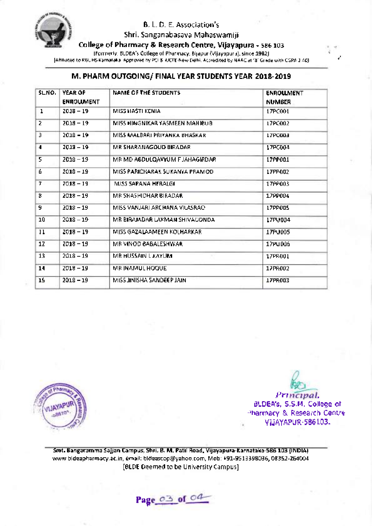

Shri. Sanganabasava Mahaswamiji

College of Pharmacy & Research Centre, Vijayapura - 586103

(Formerly; BLDEA's College of Pharmacy, Bijapur (Vijayapura), since 1982) [Affiliated to RGUHS-Karnataka, Approved by PCI & AICTE-New Delhi, Accredited by NAAC at'R Grade with CGPA 2.40]

#### M. PHARM OUTGOING/ FINAL YEAR STUDENTS YEAR 2018-2019

| SLNO. | YEAR OF<br><b>ENROLLMENT</b> | NAME OF THE STUDENTS            | <b>ENROLLMENT</b><br><b>NUMBER</b> |
|-------|------------------------------|---------------------------------|------------------------------------|
| 1     | 2018 - 19                    | MISS HASTI KENIA.               | 17PC001                            |
| 2     | 2018-19                      | MISS HINGNIKAR YASMEEN MAHIBUB. | 17PC002                            |
| 3     | $2018 - 19$                  | MISS MALBARI PRIYANKA BHASKAR   | 17PC003                            |
| 4     | $2013 - 19$                  | MR SHARANAGOUD BIRADAR.         | 17PC004                            |
| 5     | 2018-19                      | MR MD ABDULQAYYUM FJAHAGIRDAR   | 17PP001                            |
| 6     | $2018 - 19$                  | MISS PARICHARAK SUKANYA PRAMODI | 17PP002                            |
| 7     | $7018 - 19$                  | MISS SAPANA HERALGI             | 1799003                            |
| 8     | $2018 - 19$                  | MR SHASHIDHAR BIRADARI          | 17PP004                            |
| Đ.    | $2018 - 19$                  | MISS VANJARI ARCHANA VILASRAO.  | 17PP005                            |
| 10    | $2018 - 19$                  | MR BIRAJADAR LAXMAN SHIVAGONDA. | 17PU004                            |
| 11    | $2018 - 19$                  | MISS GAZALAAMEEN KOLHARKAR.     | 17PU005                            |
| 12    | $2018 - 19$                  | MB VINOD BABALESHWAR.           | 17PU006                            |
| 13    | $2018 - 19$                  | MR HUSSAIN L KAYUM.             | 17PR001                            |
| 14    | $2018 - 19$                  | MR INAMUL HOQUE                 | 17PA002                            |
| 15    | $2018 - 19$                  | MISS JINISHA SANDEEP JAIN.      | 17PR003                            |



r) Principal, BLDEA's, S.S.M. College of Pharmacy & Research Centre ViJAYAPUR.586103.

 $\mathbf{r}$ t

Smt. Bangaramma Sajjan Campus, Shri. B. M. PatilRoad, Vijayapura-Karnataka-585103 (lNDlA) www.bldeapharmacy.ac.in, email: bldeascop@yahoo.com, Mob: +91-9513398036, 08352-264004 [BLDE Deemed to be University Campus]

Page 03 of 04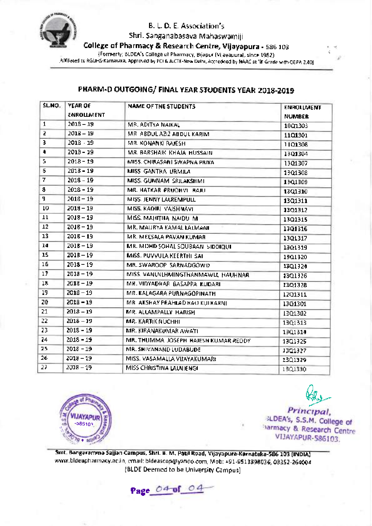

Shri. Sanganabasava Mahaswamiji

College of Pharmacy & Research Centre, Vijayapura - 586 103

(Formerly; BLDEA's College of Pharmacy, Bijapur (Vijayapura), since 19g2)

[Affiliated to RGUHS-Karnataka, Approved by PCI & AICTE-New Delhi, Accredited by NAAC at'B'Grade with CGpA 2.40]

### PHARM-D OUTGOING/ FINAL YEAR STUDENTS YEAR 2018-2019

| SLNO. | YEAR OF<br><b>ENROLLMENT</b> | NAME OF THE STUDENTS                  | <b>ENROLLMENT</b><br><b>NUMBER</b> |
|-------|------------------------------|---------------------------------------|------------------------------------|
| 1     | 2018 - 19                    | MR. ADITYA NAJKAL                     | 10Q1303                            |
| 5     | 2018 - 19                    | MR ABDULAZIZ ABDULKARIM               | 1101301                            |
| 3     | 2018 - 19                    | MR. KONANKI RAJESH.                   | 1101308                            |
| 4     | $2013 - 19$                  | MR. BARSHAIK KHAJA HUSSAIN.           | 13Q1304                            |
| 5.    | $2018 - 19$                  | MISS. CHIRASANI SWAPNA PRIYA          | 1301307                            |
| 6     | $2018 - 19$                  | MISS GANTHA URMILA                    | 13Q1308                            |
| 7.    | 2018 - 19                    | MISS. GUNNAM SRILAKSHMI               | 1301309                            |
| 8     | $2018 - 19$                  | MR. HATKAR PRUDHVI "RAJU"             | 13Q1310                            |
| 9     | $2018 - 19$                  | MISS. JENNY LALREMPULL                | 1301311                            |
| 10    | $2018 - 19$                  | MISS. KADIRI VAISHNAVI                | 1301312                            |
| 11    | 2018 – 19                    | MISS, MAHITHA NAIDU M.                | 1301315                            |
| 12    | 2018 – 19                    | MR. MAURYA KAMAL LALMANI              | 1301316                            |
| 13    | 2015-19                      | MR. MEESALA PAVAN KUMAR               | 1301317                            |
| 14    | $201B - 19$                  | MR. MOHD SOHAL SOUBAAN SIDDIQUE       | 1301319                            |
| 15    | $201B - 19$                  | MISS. PUVVULA KEERTHI SAL             | 13Q1320                            |
| 16    | $2018 - 19$                  | MR. SWAROOP SARNADGOWD                | 13Q1324                            |
| 17    | $2018 - 19$                  | MISS, VANUNLHMINGTHANMAWU, HAUHNAR    | 13Q1326                            |
| 18    | $2018 - 19$                  | MR. VIDYADHAR BASAPPA KUDARI          | 1301328                            |
| 19    | $2018 - 19$                  | MR. KALAGARA PURNAGOPINATH.           | 1201311                            |
| 20    | 2018-19                      | MR. AKSHAY PRAHLAD HAO KULKARNI.      | 1301301                            |
| 21    | $2018 - 19$                  | MR. ALLAMPALLY HARISH                 | 13Q1302                            |
| 22    | $2018 - 19$                  | <b>MR. KARTIK NUCHHI</b>              | 13Q1313                            |
| 23    | $2018 - 19$                  | MR. KIRANAKUMAR AWATI                 | 1301314                            |
| 24    | $2018 - 19$                  | MR. THUMMA JOSEPH HAJESH KUMAR REDDY. | 13Q1325                            |
| 25    | 2018 - 19                    | MR. SHIVANAND LUDABUDE.               | 13Q1327                            |
| 26.   | 2018 – 19                    | MISS. VAŞAMALLA VIJAYAKUMARI          | 13Q1329                            |
| 27    | 2018 – 19.                   | MISS CHRISTINA LAUNIENGI              | 1301330                            |



Principal sLDEA's, S.S.M. College of ;iarmacy & Research Centre VIJAY;4PUR-586103

,4 t

Smt. Bangaramma Sajjan Campus, Shri. B. M. PatilRoad, Vijayapura-Karnataka-585 103 (tNDtA) www.bldeapharmacy.ac.in, email: bldeascop@yahoo.com, Mob: +91.-9513398036, 0g352-264004 [BLDE Deemed to be University Campus]

Page 04 of 04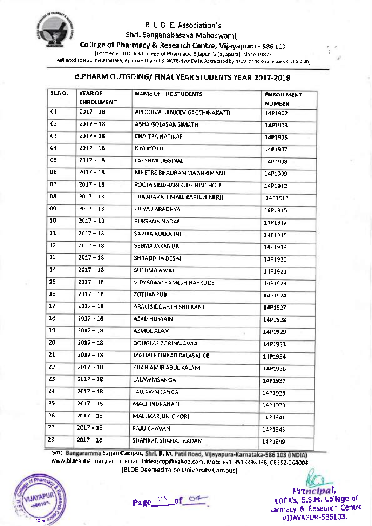

Shri. Sanganabasava Mahaswamiji

College of Pharmacy & Research Centre, Vijayapura - 586103

(Formerly; BLDEA's College of pharmacy, Bijapur (Vijayapura), since 19g2) [Affiliated to RGUHs-Karnataka, Approved by PCI & AICTE-New Delhi, Accredited by NAAC at 'B'Grade with CGpA 2.40]

# B.PHARM OUTGOING/ FINAL YEAR STUDENTS YEAR 2017-2018

| SLNO. | <b>YEAR OF</b><br><b>ENROLLMENT</b> | <b>NAME OF THE STUDENTS</b>   | <b>ENROLLMENT</b><br><b>NUMBER</b> |
|-------|-------------------------------------|-------------------------------|------------------------------------|
| 01    | $2017 - 10$                         | APOORVA SANJEEV GACCHINAKATTI | 14P1902                            |
| 02    | $2017 - 18$                         | ASHA GOLASANGIMATH            | 14P1903                            |
| 03    | $2017 - 18$                         | <b>CHAITRA NATIKAR</b>        | 14P1905                            |
| 04    | $2017 - 18$                         | KMJYOTHI.                     | 1471907                            |
| 05    | $2017 - 18$                         | LAKSHMI DEGINAL               | 14P1908                            |
| 06    | 2017 - 18                           | MHETRE BHAURAMMA SHRIMANT     | 14P1909                            |
| 07    | $2017 - 18$                         | POOJA SIDDHAROOD CHINCHOLL    | 14P191Z                            |
| D8    | $2017 - 18$                         | PRABHAVATI MALLIKARJUN MIRJI. | 14P1913                            |
| 09.   | $2017 - 18$                         | <b>PRIYA J ARADHYA</b>        | 14P1915                            |
| 10    | $2017 - 18$                         | RUKSANA NADAF                 | 14P1917                            |
| 11    | $2017 - 18$                         | <b>SAVITA KULKARNI</b>        | 14PJ918                            |
| 12    | $2011 - 18$                         | SEEMA JAKANUR                 | 14P1919                            |
| 13    | $2017 - 18$                         | SHRAODHA DESAL                | 14P1920                            |
| 14    | $2017 - 13$                         | SUSHMA AWATI                  | 14P1921                            |
| 15    | $2017 - 18$                         | VIDYARANI RAMESH HARKUDE      | 14P1923                            |
| 16    | $2017 - 18$                         | ZOTHANPUIL                    | 14P1924                            |
| 17    | $2017 - 18$                         | ARALI SIDDAR FH SHRIKANT      | 14P1927                            |
| 18    | $2017 - 18$                         | AZAD HUSSAIN                  | 1401928                            |
| 19    | $2017 - 13$                         | <b>AZMOL ALAM</b>             | 14P1929                            |
| 20    | $2017 - 18$                         | DOUGLAS ZORINMAWIA            | 14P1933                            |
| 21    | $2017 - 18$                         | JAGDALE ONKAR BALASAHEB       | 14P1934                            |
| 22    | $2017 - 18$                         | KHAN AMIR ABUL KALAM.         | 14P1936                            |
| 23    | $2017 - 18$                         | <b>LALAWMSANGA</b>            | 1421937                            |
| 24    | $2017 - 18$                         | LALLAWMSANGA                  | 14P1938                            |
| 25    | 2017 – 18                           | MACHINDRANATH                 | 14P1939                            |
| 26    | 2017 – 18                           | MALLIKARJUN C KORL            | 14P1941                            |
| 77    | 2017 - 18                           | RAJU CHAVAN                   | 14P1945                            |
| 28    | $2017 - 18$                         | SHANKAR SHAHAJI KADAM         | 14P1949                            |

Smt. Bangaramma Sajjan Campus, Shri. B. M www.bldeapharmacy.ac.in, email: bldeascop@yahoo.com, Mob: +91-9513398036, 08352-264004 [BLDE Deemed to be University Campus]



Page<sup>O'</sup>of<sup>O4</sup>

Principal, LDEA's, S.S.M. College of varmacy & Research Centre VI]AYAPUR.5g6103.

r4 t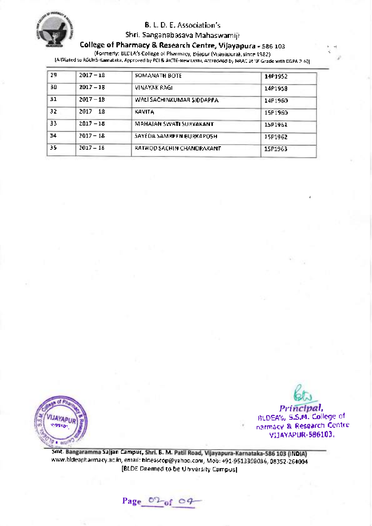

### Shri. Sanganabasava Mahaswamiji

# College of Pharmacy & Research Centre, Vijayapura - s86 <sup>103</sup>

(Formerly; BLDEA's College of Pharmacy, Bijapur (Vijayapura), since 19g2) [Affiliated to RGUHs-Karnataka, Approved by Pcl & AICTE-New Delhi, Accredited by NAAC at'B' Grade with CGpA 2.40]

| 29. | $2017 - 18$ | SOMANATH BOTE             | 14P1952 |
|-----|-------------|---------------------------|---------|
| 30. | $2017 - 18$ | VINAYAK BAGI.             | 14P1953 |
| ΞI  | $2017 - 18$ | WALI SACHINKUMAR SIODAPPA | 14P1960 |
| 32  | 2017 18     | KAVITA                    | 15P1960 |
| 33. | $2017 - 18$ | MAHAJAN SWATI SURYAKANT   | 15P1961 |
| 34  | $2017 - 18$ | SAYEDA SAMREFN BURKAPOSH  | 15P1962 |
| 35  | $2017 - 18$ | RATHOD SACHIN CHANDRAKANT | 15P1963 |



ew Principal, BLDEATs, S.S.M. College of n3rmacy & Research centre VI]AYAPUR.5861O3.

r-4

Smt. Bangaramma Sajjan Campus, Shri. B. M. Patil Road, Vijayapura-Karnataka-586 103 (INDIA) armacy.ac.in, email: bldeascop@yahoo.com, Mob: +91-9513399036, og3sz-264004 www.bldeaph IBLDE Deemed to be University Campus]

Page  $0^{\circ}$  of 09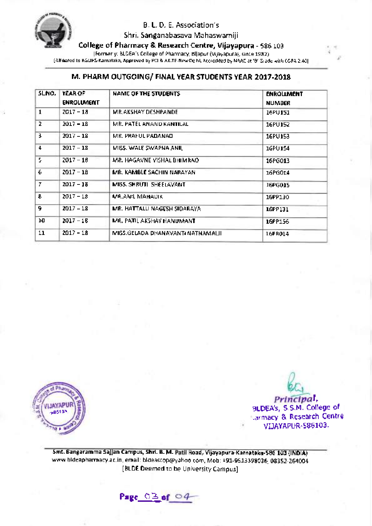

Shri. Sanganabasava Mahaswamiji

College of Pharmacy & Research Centre, Vijayapura - 586103

(Formerly; BLDEA's College of Pharmacy, Billapur (Vijayapura), since 1982).

lAffiliated to RGUHS-Karnataka, Approved by PCI & AICTE-New Delhi, Accredited by NAAC at'B'Grade with CGPA 2.401

# M. PHARM OUTGOING/ FINAL YEAR STUDENTS YEAR 2017-2018

| SLNO. | YEAR OF<br><b>ENROLUMENT</b> | NAME OF THE STUDENTS               | <b>ENROLLMENT</b><br><b>NUMBER</b> |
|-------|------------------------------|------------------------------------|------------------------------------|
| 1     | $2017 - 18$                  | MR. AKSHAY DESHPANDE.              | 16PU151                            |
| 2     | $2017 - 18$                  | MR. PATEL ANAND KANTILAL           | 16PU152                            |
| В     | $2017 - 18$                  | MR. PRAFUL PADANAD.                | 16PU153                            |
| 4     | $2017 - 18$                  | MISS. WALE SWAPNA ANIL             | 16PU154                            |
| 5.    | $2017 - 18$                  | MR. HAGAVNE VISHAL BHIMRAO.        | 16PG013                            |
| 6     | $2017 - 18$                  | MR. KAMBLE SACHIN NARAYAN.         | 16PG014                            |
| T.    | $2017 - 18$                  | MISS. SHRUTI SHEELAVANT            | 1686015                            |
| 8     | $2017 - 18$                  | MR.ANIL MAHADIK                    | 16PP130                            |
| 9     | $2017 - 18$                  | MR. HATTALLI NAGESH SIDARAYA.      | 16PP131                            |
| эø    | $2017 - 18$                  | MR. PATIL AKSHAY HANUMANT          | 16PP156                            |
| 11    | $2017 - 18$                  | MI\$\$.GELADA DHANAVANT(NATHAMALI) | 16PR014                            |
|       |                              |                                    |                                    |



 $\frac{1}{\beta}$ BLDEA's, S.S.M. College of .armacy & Research centre VIJAYAPUR.5861O3.

,4'

Smt. Bangaramma Sajjan Campus, Shri. B. M. Patil Road, Vijayapura-Karnataka-586 103 (INDIA) www.bldeapharmacy.ac.in, email: bldeascop@yahoo.com, Mob: +91-9513398036, 08352-264004 [BLDE Deemed to be University Campus]

Page\_03 of 04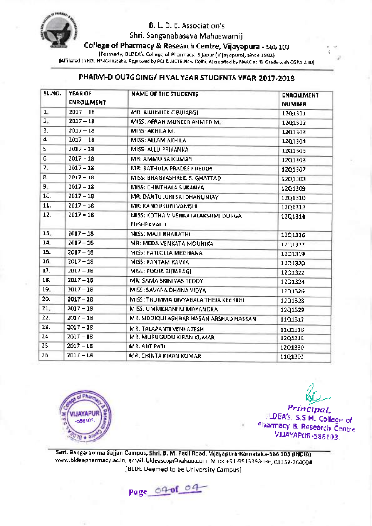

Shri. Sanganabasava Mahaswamiji

College of Pharmacy & Research Centre, Vijayapura - s86103

(Formerly; BLDEA's College of pharmacy, Bijapur (Vijayapura), since 19g2)

[Affiliated to RGUHS-Karnataka, Approved by PCI & AICTE-New Delhi, Accredited by NAAC at ,8, Grade with CGpA 2.40]

# PHARM-D OUTGOING/ FINAL YEAR STUDENTS YEAR 2017-2018

| <b>SL.NO.</b> | <b>YEAR OF</b><br><b>ENROLLMENT</b> | <b>NAME OF THE STUDENTS</b>                      | <b>ENROLLMENT</b><br>NUMBER |
|---------------|-------------------------------------|--------------------------------------------------|-----------------------------|
| $L_{\star}$   | $2017 - 18$                         | MR. ABHISHEK C BIJJARGI.                         | 12Q1301                     |
| 2.5           | 2017-18                             | MISS: AFRAH MUNCER AHMED M.                      | 12Q1302                     |
| Э.            | $2011 - 18$                         | MISS: AKHILA M.                                  | 12Q1303                     |
| 4             | 2017 18                             | MISS: ALLAM AKHILA                               | 12Q1304                     |
| 5             | $2017 - 18$                         | MISS- ALLU PRIYANKA                              | 1201305                     |
| G.            | $2017 - 18$                         | MR: AMMU SAIKUMAR                                | 12Q1306                     |
| 7.            | $2017 - 18$                         | MR: BATHULA PRADEEP REDDY                        | 1201307                     |
| ₿,            | $2017 - 18$                         | MISS: BHAGYASHREE, S. GHATTAD.                   | 1201308                     |
| 9.            | $2017 - 18$                         | MISS: CHINTHALA SUKANYA                          | 1201309                     |
| 10.           | $2017 - 18$                         | MR: DANTULURI SAI DHANUNJAY                      | 12Q1310                     |
| 11.           | $2017 - 18$                         | MR: KANOUKURI VAMSHI                             | 12Q1312                     |
| 12.           | $2017 - 18$                         | MISS: KOTHA V VENKATALAKSHMI DORGA<br>PUSHPAVALU | 1201314                     |
| 13.           | $2017 - 18$                         | MISS: MAUJI BHARATHI                             | 12Q1316                     |
| 14.           | $2017 - 18$                         | MR: MEDA VENKATA MOUNIKA                         | 1201317                     |
| 15.           | $2017 - 18$                         | MISS: PATLOLLA MEGHANA                           | 1201319                     |
| 16.           | $2017 - 18$                         | MISS: PANTAM KAVYA                               | 1201320                     |
| 17.           | $2017 - 18$                         | MISS: POOIA BIJIARAGI                            | 1201322                     |
| 18.           | $2017 - 18$                         | MR: SAMA SRINIVAS REDDY.                         | 12Q1324                     |
| 19.           | $2017 - 18$                         | MISS: SAVARA DHANA VIDYA                         | 1201326                     |
| 20.           | $2017 - 18$                         | MISS: TRUMMA DIVYABALA THEJA KEERTHI             | 1201328                     |
| 21.           | $2017 - 18$                         | MISS. UMMEHANI M MAKANDRA                        | 12Q1329                     |
| 22.           | $2017 - 18$                         | MR. SIDDIQUI ASHHAR HASAN ARSHAD HASSAN          | 1101317                     |
| 23.           | $2017 - 18$                         | MR. TALAPANTI VENKATESH.                         | 1101318                     |
| 24.           | $2017 - 18$                         | MR. MURUGUDU KIRAN KUMARI.                       | 12Q1318                     |
| 25.           | $2017 - 18$                         | MR. AIIT PATIL                                   | 12Q1330                     |
| 26            | $2017 - 18$                         | MR. CHINTA KIRAN KUMAR.                          | 11Q1303                     |



r4- I

Principal,<br>LDEA's, S.S.M. College of <sup>.:</sup> LDEA's, S.S.M. College of<br><sup>Oharmacy</sup> & Research Centre VI]AYAPUR-586103.



Smt. Bangaramma Sajjan Campus, Shri. B. M. Patil Road, Vijayapura-Karnataka-586 103 (INDIA) www.bldeapharmacy.ac.in, email:bldeascop@yahoo.com, Mob:+91-9513399036, 08352-264004 IBLDE Deemed to be University Campus]

Page\_04-of 04-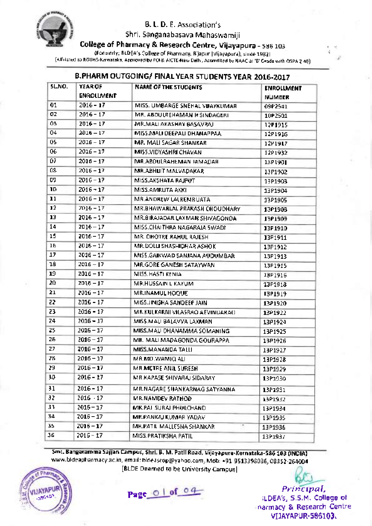

Shri. Sanganabasaya Mahaswamiji

College of Pharmacy & Research Centre, Vijayapura - 580 <sup>103</sup>

(Formerly; BLDEA's College of Pharmacy, Bijapur (Vijayapura), since 1982)

[Affiliated to RGUHS-Karnataka, Approved by PCI & AICTE-New Delhi, Accredited by NAAC at ,8, Grade with CGpA 2.40]

### B.PHARM OUTGOING/ FINAL YEAR STUDENTS YEAR 2016-2017

| SLNO. | <b>YEAR OF</b><br>ENROLLMENT | <b>NAME OF THE STUDENTS</b>     | <b>ENROLLMENT</b><br><b>NUMBER</b> |
|-------|------------------------------|---------------------------------|------------------------------------|
| 01    | $2016 - 17$                  | MISS. UMBARGE SNEHAL VUAYKUMAR. | 0902541                            |
| 02    | $2016 - 17$                  | MR. ABDULREHAMAN H SINDAGERI    | 10P2501                            |
| Ô3    | $2016 - 17$                  | MR.MALI AKASHAY BASAVRAJI       | 12P1915                            |
| 04    | 2016 – 17                    | MISS MALLOEEPALLOHANAPPAAL      | 12P1916                            |
| 05    | 2016 – 17                    | <b>MR. MALI SAGAR SHANKAR</b>   | 12P1917                            |
| 06    | 2016 - 17                    | MISS.VIDYASHRI CHAVAN           | 1291932                            |
| 07    | $2016 - 17$                  | MR.ABDULRAHEMAN JAMADAR         | 13P1901                            |
| ū\$   | $2016 - 17$                  | MR.ABHUIT MALVADAKAR            | 13P1902                            |
| ᇛ     | $2016 - 17$                  | MISS AKSHATA RAJPUT             | 13P1903                            |
| 10    | $2016 - 17$                  | MISS.AMRUTA AKKI                | 13P1904                            |
| 11    | $2016 - 17$                  | MR.ANDREW LALREMRUATA           | 13P1905                            |
| 12    | $7016 - 17$                  | MR.BHAWARLAL PRAKASH CHOUDHARY  | 13P1908                            |
| 13    | 2016 – 17                    | MR.BIRAJADAR LAXMAN SHIVAGONDA  | 13P1909                            |
| 14    | $2016 - 17$                  | MISS.CHAITHRA NAGARAJA 5WADI    | 13P1910                            |
| 15    | 2016 - 17                    | MR. OHOTRE RAHUL RAJESHI        | <b>13P1911</b>                     |
| 16    | $2016 - 17$                  | MR. DOLLI SHASHIDHAR ASHOK      | 13P1912                            |
| 17    | $2016 - 17$                  | MISS.GAIKWAD SANJANA AUDUMBAR   | 13P1913                            |
| 18    | $2016 - 17$                  | MR.GORE GANESH SATAYWAN         | 13P1915                            |
| 19    | $2016 - 17$                  | MISS. HASTI KENIA               | 13P1916                            |
| 20    | 2016-17                      | <b>MR.HUSSAIN L KAYUM</b>       | 13P1918                            |
| 21    | $2016 - 17$                  | <b>MR.INAMUL HOQUE</b>          | 13P1919                            |
| 22    | $2016 - 17$                  | MISS JINISHA SANDEEP JAIN.      | 13P1920                            |
| 23    | $2016 - 17$                  | MR.KULKARNI VILASRAO AEVINDARAO | 1391922                            |
| 24    | $2016 - 17$                  | MISS.MAU BALAVVA LAXMANI        | 13P1924                            |
| 25    | $2016 - 17$                  | MISS MAU DHANANIMA SOMANING     | 13P1925                            |
| 25    | $2016 - 17$                  | MR. MALI MADAGONDA GOURAPPA     | 13P1926                            |
| 27    | $2016 - 17$                  | MISS MANANDA TALLI              | 13P1927                            |
| 28    | $2016 - 17$                  | MR.MD. WAMIQ ALI                | 13P1928                            |
| 29    | $2016 - 17$                  | MR.METRE ANIL SURESH            | 13P1929                            |
| 30    | $2016 - 17$                  | MR KAPASE SHIVARAJ SIDARAY.     | 13P1930                            |
| 31    | $2016 - 17$                  | MR.NAGARE SHANKARNAG SATYANNA.  | 13P1931                            |
| 32.   | $2016 - 17$                  | MR.NAMDEV RATHOD                | 13P1932                            |
| 33    | $2016 - 17$                  | MR.PAL SURAJ PHOLCHAND          | 1391934                            |
| 34    | 2016 – 17                    | MR.PANKAJ KUMAR YADAVI          | 13P1935                            |
| 35.   | 2016 – 17                    | MR.PATIL MALLESHA SHANKARI      | 13P1936                            |
| 36    | 2016 - 17                    | MISS.PRATIKSHA PATILI           | 13P1937                            |
|       |                              |                                 |                                    |

Smt. Bangaramma Sajjan Campus, Shri. B. M. Patil Road, Vijayapura-Karnataka-586 103 (INDIA) www.bldeapharmacy.ac.in, email:bldeascop@yahoo,com, Mob:+91-9513398036, 0g352-264004 IBLDE Deemed to be University Campus]



 $\left(\frac{18}{286502}\right)^{180}$  Page 0 of 04

Principal, tLDEAt, S.S.M. College of narmacy & Research centre VIJAYAPUR.586103.

,'a t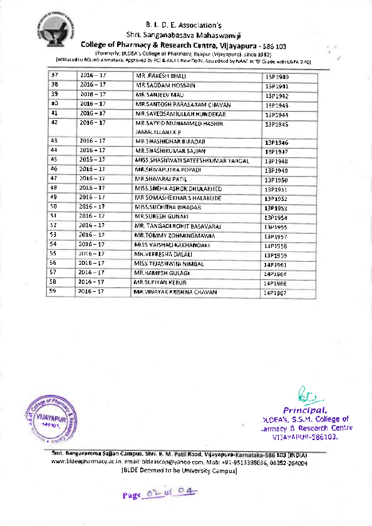

# Sh ri. Sanganabasava Mahaswamiji

College of Pharmacy & Research Centre, Vijayapura - <sup>586103</sup>

(Formerly; BLDEA's College of pharmacy, Bijapur (Vijayapura), since 19g2)

lAffiliated to RGUHs-Karnataka, Approved by PCI & AICTE-New Delhi, Accredited by NAAC at ,8, Grade with CGpA 2.401

| 37  | $2016 - 17$ | MR. RAKESH BHALI                             | 13P1940  |
|-----|-------------|----------------------------------------------|----------|
| 38  | 2016 - 17   | MR.SADDAM HOSSAIN                            | 1391941  |
| 39  | $2016 - 17$ | MR.SANJEEV MAU                               | 13P1942  |
| 40. | $2016 - 17$ | MR.SANTOSH PARASARAM CHAVAN                  | 13P1943  |
| 41  | $2016 - 17$ | MR.SAYEDSAMIULLAH HUNDEKAR                   | 13P1944  |
| 42  | 2016 - 17   | MR SAYYID MUHAMMED HASHIR<br>JAMALYLLAILLK.P | 13P1945  |
| 43. | 2016 - 17   | MR SHASHIDHAR BIRADAR                        | 13P1946  |
| 44  | 2016 - 17   | MR. SHASHIKUMAR SAJJAN                       | 13P1947  |
| 45  | $2016 - 17$ | MISS.SHASHWATI SATEESHKUMAR YARGAL           | 13P1948  |
| 46  | $2016 - 17$ | MR.SHIVAPUTRA POPADI                         | 13P1949  |
| 47  | $2016 - 17$ | MR.SHIVARAJ PATIL                            | 13P1950  |
| 48  | $2016 - 17$ | MISS.SNEHA ASHOK DHULAKHED                   | 13P1951  |
| 49  | $2016 - 17$ | MR SOMASHEKHAR S HALAKUDE                    | 13P1952  |
| 50  | $2016 - 17$ | MISS.SUCHITRA BIRADAR                        | 13P1953  |
| 51  | 2016 - 17   | MR.SURESH GUNAKI                             | 13P1954  |
| 52  | $2016 - 17$ | MR. TANGADI ROHIT BASAVARAJ                  | 13P1955  |
| 53. | $2016 - 17$ | MR.TOMMY ZOHMINGMAWIA                        | 13P1957  |
| 54  | $2016 - 17$ | MISS. VAISHALI KAKHANDAKI                    | 1.3P1958 |
| 55  | $2016 - 17$ | MH.VEFRESHA DALALI                           | L3P1959  |
| 56  | $2D15 - 17$ | MISS.TEJASHWIN/NIMBAL                        | 14P1961  |
| 57  | $2016 - 17$ | MR.RAMESH GULAGI                             | I4P1964  |
| 58  | $2016 - 17$ | MR.SUFIYAN KERUR                             | 14F1966  |
| S9  | 2016 – 17   | MA.VINAYAK KRISHNA CHAVAN                    | 14P1967  |
|     |             |                                              |          |



 $\omega$ Principal, jLDEA's, S.S.M. College of ,armacy & Research Centre VI]AYAPIJR..5861O3,

/)

 $\frac{1}{2}$ 

Smt. Bangaramma Sajjan Campus, Shri. B. M. Patil Road, Vijayapura-Karnataka-586 103 (INDIA) www.bldeapharmacy.ac.in, email: bldeascop@yahoo.com, Mob: +91-9513398036, 08352-264004 [BLDE Deemed to be University Campus]

Page  $0^\circ$  of  $04$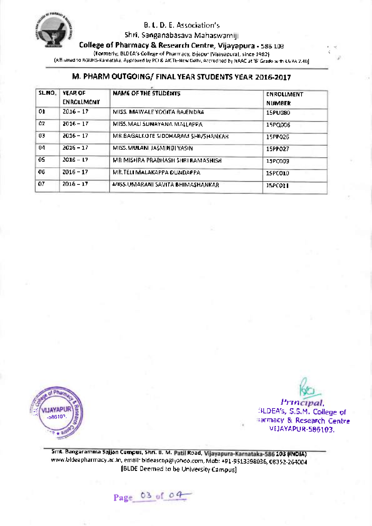

Shri. Sanganabasava Mahaswamiji

College of Pharmacy & Research Centre, Vijayapura - 586 103

(Formerly; BLDEA's College of Pharmacy, Bijapur (Vijayapura), since 1982)

[Affiliated to RGUHS-Karnataka, Approved by PCI & AICTE-New Delhl, Accredited by NAAC at'B' Grade with CGpA 2.40]

# M. PHARM OUTGOING/ FINAL YEAR STUDENTS YEAR 2016-2017

| SLNO. | <b>YEAR OF</b><br><b>ENROLLMENT</b> | <b>NAME OF THE STUDENTS</b>        | <b>ENROLLMENT</b><br><b>NUMBER</b> |
|-------|-------------------------------------|------------------------------------|------------------------------------|
| 01.   | $2016 - 17$                         | MISS. MAWALE YOGITA RAJENDRA       | 15PU080                            |
| ĊZ.   | $2016 - 17$                         | MISS. MALL SUNAYANA MALLAPPA       | 15PQ006                            |
| 03    | $2016 - 17$                         | MR.BAGALKOTE SIDDHARAM SHIVSHANKAR | 15PP026                            |
| 04    | $2016 - 17$                         | MISS. MULANI JASMINBI YASIN        | 15PP027                            |
| 05    | $2016 - 17$                         | MR MISHRA PRABHASH SHRI RAMASHISH  | 15PC009                            |
| 06    | $2016 - 17$                         | MR. TELI MALAKAPPA QUNDAPPA        | 15PC010                            |
| 07    | $2016 - 17$                         | MISS UMARANI SAVITA BHIMASHANKAR   | 15PC011                            |



/)

r{ t

Principal, SLDEA's, S.S.M. College ot **Trarmacy & Research Centre** VIJAYAPUR-586103.

Smt. Bangaramma Sajjan Campus, Shri. B. M. Patil Road, Vijayapura-Karnataka-586 103 (INDIA) www.bldeapharmacy.ac.in, email : bldeascop@yahoo.com, Mob: +91\_95 13 39803 6, 08352-264004 [BLDE Deemed to be University Campus]

Pag- $03$  of  $04$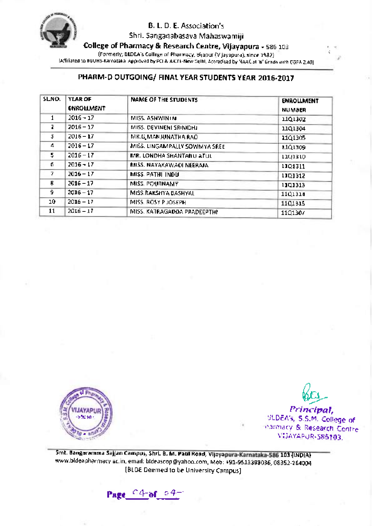

Shri. Sanganabasava Mahaswamiji

College of Pharmacy & Research Centre, Vijayapura - 586 103

(Formerly; BLDEA's College of pharmacy, Bijapur (Vijayapura), since 19g2)

[Affiliated to RGUHS-Karnataka, Approved by PCI & AICTE-New Delhi, Accredited by NAAC at'B'Grade with CGpA 2.40]

# PHARM-D OUTGOING/ FINAL YEAR STUDENTS YEAR 2016-2017

| SLNO. | YEAR OF<br><b>ENROLLMENT</b> | <b>NAME OF THE STUDENTS</b>   | <b>ENROLLMENT</b><br><b>NUMBER</b> |
|-------|------------------------------|-------------------------------|------------------------------------|
| 1     | $2016 - 17$                  | MISS. ASHWINTN                | 11Q130Z                            |
| z     | $2016 - 17$                  | MISS. DEVINENI SRINIDHI.      | 11Q1304                            |
| 3     | $2016 - 17$                  | MR.G.MANJUNATHA RAO           | 11Q1305                            |
| 4     | $2016 - 17$                  | MISS. LINGAMPALLY SOWMYA SREE | 1101309                            |
| 5     | $2016 - 17$                  | MR. LONDHA SHANTANU ATUL      | 1101310                            |
| 6.    | $2016 - 17$                  | MISS. NAYAKAWADI NEERAJA      | 1101311                            |
| 7.    | $2016 - 17$                  | MISS PATHI INDU               | 1101312                            |
| 8.    | $2016 - 17$                  | MISS, POURNAMY                | 1101313                            |
| 9.    | $2016 - 17$                  | MISS.RAKSHYA BASHYAL          | 1101314                            |
| 10.   | $2016 - 17$                  | MISS, ROSY PUOSEPH            | 1101315                            |
| 11    | $2016 - 17$                  | MISS. KATRAGADDA PRADEEPTHI   | 11Q1307                            |



 $\frac{\mathcal{C}_{\text{C1}}}{\text{Principal}}$ 

rf t i'

SLDEA's, S.S.M. College of harmacy & Research Centre VIJAYAPUR.585tO3.

Smt. Bangaramma Sajjan Campus, Shri. B. M. Patil Road, Vijayapura-Karnataka-586 103 (INDIA) www.bldeapharmacy.ac.in, email: bideascop@yahoo.com, Mob: +91-9513398036, 08352-264004 IBLDE Deemed to be University Campus]

Page  $04$ -of  $04$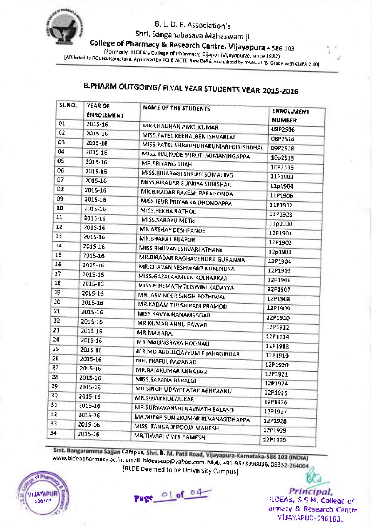

Shri. Sanganabasava Mahaswamiji<br>College of Pharmacy & Research Centre, Vijayapura - 586 103

Formerly: BLDEA's College of Pharmacy, Bijapur (Vijayapura), since 1982)<br>[Afrilated to RGUHS-Kamataka, Approved by PCI & AICTE-New Dehi, Accredited by NAAC at 'B' Grade with CGPA 2 40

 $\tau$ t

# B.PHARM OUTGOING/ FINAL YEAR STUDENTS YEAR 2015-2016

| 51.NO. | YEAR OF<br><b>ENROLLMENT</b> | NAME OF THE STUDENTS                                 | <b>ENROLLMENT</b> |
|--------|------------------------------|------------------------------------------------------|-------------------|
| 01     | 2015-16                      | MR-CHAUHAN AMOLKUMAR                                 | <b>NUMBER</b>     |
| 02     | 2015-16                      | MISS. PATEL REENALBEN ISHVARLAL                      | U3P2506           |
| O3     | 2015-16                      | MISS, PATEL SHRADHDHAKUMARI GIRISHBHAI               | OBP2514           |
| 04     | 2015 16                      | MISS. HALKUDE SHRUTI SOMANINGAPPA                    | D9P2528           |
| OS.    | 2015-16                      | MR.PRIYANG SHAH                                      | 10p2513           |
| 06     | 2015-16                      | MISS.BIJJARAGI SHRUTI SOMAJING                       | 10P2535           |
| 07     | 2015-16                      | MISS BIRADAR SUPRIYA SHRISHAIL                       | 11P1903           |
| Οz     | 2015-16                      | MR.BIRADAR RAXESH PARAGONDA                          | 11p1904           |
| 09     | 2015-16                      | MISS JEUR PRIYANKA DHONDAPPA                         | 11F1906           |
| 10     | 2015-16                      | MISS.REKHA RATHOD                                    | 31P1912           |
| 11     | 2015-16                      | MISS.SARAYU METRI                                    | 11P1928           |
| 12     | 2015-16                      | MR.AKSHAY DESHPANDE                                  | 11p1930           |
| 13     | 2015-16                      | MR.BHARAI BUAPUR                                     | 12P1901           |
| 14     | 2015-16                      | MISS BHUVANESHVARI ATHANI                            | 12P1902           |
| 15     | 2015-16                      | MR BIRADAR RAGHAVENDRA GURANNA                       | 12p1903           |
| 16     | 2015-16                      | MR.CHAVAN YESHWANT KUBENDRA.                         | 12P1904           |
| 17     | 2015-16                      | MISS.GAZALAAMEEN KOLHARKAR                           | 12P1905           |
| 18     | 2015-16                      | MISS HIREMATH TEJSWINI KADAYYA                       | 12P1906           |
| 19     | 2015-16                      | MRUASVINDER SINGH POTHIWAL                           | 12P1907           |
| 20     | 2015-16                      | MR.KADAM TULSHIRAM PRAMOD                            | 12P1908           |
| 21     | 2015-16                      | MISS KAVYA HANAMSAGAR                                | 12P1909           |
| 22     | 2015-16                      | MB KUMAR ANNU PAWAR                                  | 1201910           |
| 23     | 2015-16                      | <b>MR.MAHARAL</b>                                    | 12P1912           |
| 24     | 2015-16                      | MR.MAUNGRAYA HOONAU                                  | 1201914           |
| 25     | 2015 16                      |                                                      | 12P1918           |
| 26     | 2015-16                      | MR.MD ABDULQAYYUM F JAHAGIRDAR<br>MR. PRAFUL PADANAD | 12P1919           |
| 27     | 2015-16                      | MR.RAJAKUMAR MINAJAGI                                | 12P1920           |
| 28     | 2015-16                      |                                                      | 12P1921           |
| 29.    | 2015-16                      | MISS. SAPANA HERALGI                                 | 1201974           |
| 30     | 2015-16                      | MR SINGH UDAYPRATAP ABHIMANU<br>MR.SUJAY HULYALKAR.  | 12P1925           |
| 31     | 2015-16                      |                                                      | LZP1926           |
| 32     | 2015-16                      | MR SURYAVANSHI NAVNATH BALASO                        | 12P1927           |
| 33.    | 2015-16                      | MR.SUTAR SUNILKUMAR REVANASIDHAPPA                   | 1291928           |
| 4Ľ     | 2015-16                      | MISS. TANGADI POOJA MAHESH                           | 1291929           |
|        |                              | MR.TIWARI VIVER RAMESH                               | 12P1930           |

Smt. Bangaramma Sajjan Campus, Shri. B. M. Patil Road, Vijayapura-Karnataka-586 103 (INDIA) www.bldeapharmacy.ac.in, email: bldeascop@yahoo.com, Mob: +91-9513398036, 08352-264004<br>م 101 DE Discopedia IBLDE Deemed to be University Campusl



Page of of o4

 $w$ Principal, (LDEA's, S.S.M. College of armacy & Research centre VIJA\?PUN.596103.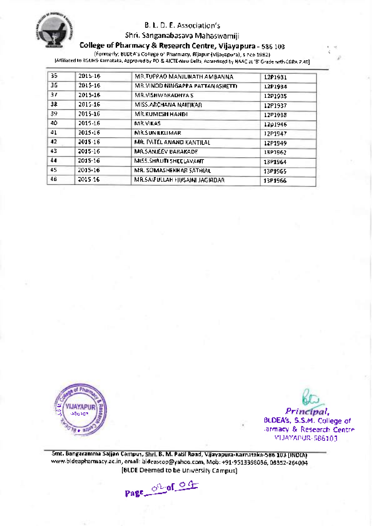

Shri. Sanganabasava Mahaswamiji

# College of Pharmacy & Research Centre, Vijayapura - 58G <sup>103</sup>

(Formerly; BLDEA's College of Pharmacy, Bijapur (Vijayapura), since 1992) [Affiliated to RGUHS-Karnataka, Approved by PCI & AICTE-New Delhi, Accredited by NAAC at'B'Grade with CGpA 2.40]

| 35. | 2015-16 | MR. TUPPAO MANJUNATH AMBANNA    | 1201931 |
|-----|---------|---------------------------------|---------|
| 36  | 2015-16 | MR.VINOD NINGAPPA PATTANASHETTI | 1201934 |
| 3F  | 2015-16 | MR.VISHWARADHYA S               | 12P1935 |
| ЗĖ. | 2015-16 | MISS.ARCHANA NAITIKAR           | 12P1937 |
| 39. | 2015-16 | <b>MR.KUMESH HANDI</b>          | 12P1938 |
| 40. | 2015-16 | <b>MR.VIKAS</b>                 | 12p1946 |
| 41  | 2015-16 | <b>MR.SUNILKUMAR</b>            | 12P1947 |
| 42. | 2015-16 | MR. PATEL ANANO KANTILALI       | 12P1949 |
| 43. | 2015-16 | MR.SANJEEV BARAKADE             | 13P1962 |
| 44  | 2015-16 | MISS.SHRUTI SHEELAVANT          | 13P1964 |
| 45  | 2015-16 | MR. SOMASHEKHAR SATHIAL         | 13P1965 |
| 46. | 2015-16 | MR.SAIFULLAH HUSAINI JAGIRDAR   | 13P1966 |



r) wc, Principal BLDEA's, S.S.M. College of ,armacy & Research centre VI]AYAPUR.5861CI3.

,4

Smt. Bangaramma Sajjan Campus, B. M. Patil Road, Vijayapura- Karnataka-586 103 (!NDIA) www.bideapharmacy.ac.in, email: bideascop@yahoo.com, Mob: +91-9513398036, 08352-264004 [BLDE Deemed to be University Campus].

Page 02 of 04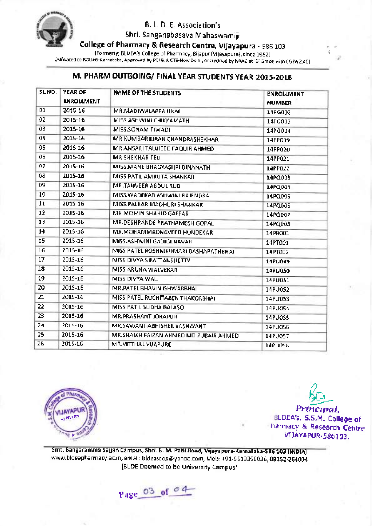

Shri. Sanganabasava Mahaswamiji

College of Pharmacy & Research Centre, Vijayapura - 58G 103

(Formerly; BLDEA's College of pharmacy, Bijapur (Vijayapura), since 19g2)

(Affiliated to RGUHS-Karnataka, Approved by PCI & AICTE-New Delhi, Accredited by NAAC at 161 Grade with CGPA 2.40).

# M. PHARM OUTGOING/ FINAL YEAR STUDENTS YEAR 2015-2016

| SLNO. | YEAR OF<br><b>ENROLLMENT</b> | NAME OF THE STUDENTS                   | ENROLLMENT<br><b>NUMBER</b> |
|-------|------------------------------|----------------------------------------|-----------------------------|
| Ů1    | 2015 16                      | MR.MADIWALAPPA ILKAL                   | 14PG002                     |
| 02    | 2015-16                      | MISS.ASH WINI CHIKKAMATH               | 14PG003                     |
| 03    | 2015-16                      | MISS.SONAM TIWADI                      | 14PG004                     |
| 04    | 2015-16                      | MR KUMBAR KIRAN CHANDRASHEKHAR         | 14PP019                     |
| 05    | 2015-16                      | MR.ANSARI TAUHEED FAQUIR AHMED         | 14PP020                     |
| 06    | 2015-16                      | <b>MR SHEKHAR TELI</b>                 | 14PP021                     |
| 07    | 2015-16                      | MISS.MANE BHAGYASI IRI DINANATH        | 14PP022                     |
| œ     | 2015-16                      | MISS PATIL AMRUTA SHANKAR              | 14PQ003                     |
| O9    | 2015-16                      | MR.TANVEER ABOUL RUB                   | 14PQ004                     |
| 10    | 2015-16                      | MISS WADEKAR ASHWINI BAIFNDRA          | 14PQ005                     |
| 11    | 2015 16                      | MISS PALKAR MACHURI SHANKAR            | 14PQ006                     |
| 12    | 2015-16                      | MR.MOMIN SHAHID GAFFAR                 | 14PQD07                     |
| 13    | 2015-16                      | MR.DESHPANDE PRATHAMESH GOPAL          | 14PQ008                     |
| 14    | 2015-16                      | MR. MOHAMMADNAVEED HONDEKAR            | 14PR001                     |
| 15    | 2015-16                      | MISS-ASHWINI GADIGENAVAR               | 14PT001                     |
| 16    | 2015-16                      | MISS PATEL ROSHNIKUMARI DASHARATHBHAI  | 14PT002                     |
| 17    | 2015-16                      | MISS DIVYA S PATTANSHETTY              | 14PU049                     |
| 18    | 2015-16                      | MISS.ARUNA WALVEKAR                    | 14PU050                     |
| 19    | 2015-16                      | MISS.DIVYA WALL                        | 14PU051                     |
| 20    | 2015-16                      | MR.PATEL BHAVIN ISHWARBHAI             | 14PU052                     |
| 21    | 2015-16                      | MISS. PATEL RUCHITABEN THAKORBHAI      | 14PU053                     |
| 22    | 2015-16                      | MISS. PATIL SUDHA BALASO               | 14PU054                     |
| 23    | 2015-16                      | MR.PRASHANT JORAPUR                    | 14PU0S5                     |
| 24    | 2015-16                      | MR.SAWANT ABHISHEK YASHWANT            | 14PU056                     |
| 25    | 2015-16                      | MR.SHAIKH FAIZAN AHMÉD MD ZUBAIR AHMED | 14PU057                     |
| 26    | 2015-16                      | MR.VITTHAL VIJAPURE                    | 1400058                     |



/) Principal,

!a t j'

SLDEA!, S.S.M. College of narmacy & Research Centre VIJAYAPUR.586i03.

Smt. Bangaramma Sajjan Campus, Shri. B. M. Pati! Road, Vijayapura-Karnataka-586 103 (lNDtA) www.bldeapharmacy.ac.in, email:bldeascop@yahoo.com, Mob: +91-9513398036,08352-264004 [BLDE Deemed to be University Campus]

Page 03 of 04